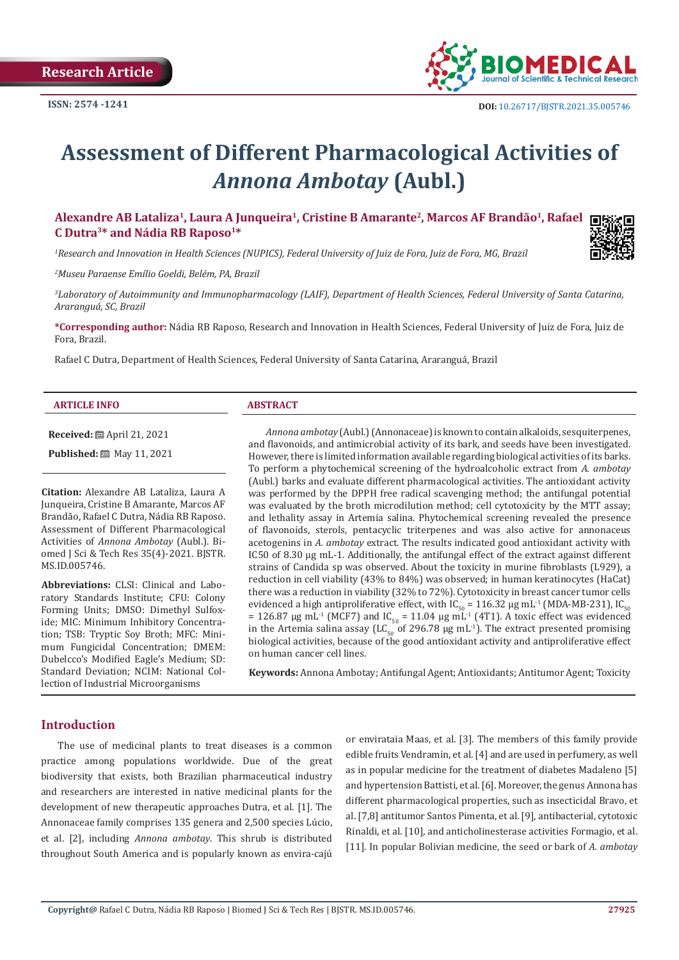

# **Assessment of Different Pharmacological Activities of**  *Annona Ambotay* **(Aubl.)**

Alexandre AB Lataliza<sup>1</sup>, Laura A Junqueira<sup>1</sup>, Cristine B Amarante<sup>2</sup>, Marcos AF Brandão<sup>1</sup>, Rafael **C Dutra3\* and Nádia RB Raposo1\***

*1 Research and Innovation in Health Sciences (NUPICS), Federal University of Juiz de Fora, Juiz de Fora, MG, Brazil*

*2 Museu Paraense Emílio Goeldi, Belém, PA, Brazil*

*3 Laboratory of Autoimmunity and Immunopharmacology (LAIF), Department of Health Sciences, Federal University of Santa Catarina, Araranguá, SC, Brazil*

**\*Corresponding author:** Nádia RB Raposo, Research and Innovation in Health Sciences, Federal University of Juiz de Fora, Juiz de Fora, Brazil.

Rafael C Dutra, Department of Health Sciences, Federal University of Santa Catarina, Araranguá, Brazil

#### **ARTICLE INFO ABSTRACT**

**Received:** April 21, 2021

**Published:** 圖 May 11, 2021

**Citation:** Alexandre AB Lataliza, Laura A Junqueira, Cristine B Amarante, Marcos AF Brandão, Rafael C Dutra, Nádia RB Raposo. Assessment of Different Pharmacological Activities of *Annona Ambotay* (Aubl.). Biomed J Sci & Tech Res 35(4)-2021. BJSTR. MS.ID.005746.

**Abbreviations:** CLSI: Clinical and Laboratory Standards Institute; CFU: Colony Forming Units; DMSO: Dimethyl Sulfoxide; MIC: Minimum Inhibitory Concentration; TSB: Tryptic Soy Broth; MFC: Minimum Fungicidal Concentration; DMEM: Dubelcco's Modified Eagle's Medium; SD: Standard Deviation; NCIM: National Collection of Industrial Microorganisms

*Annona ambotay* (Aubl.) (Annonaceae) is known to contain alkaloids, sesquiterpenes, and flavonoids, and antimicrobial activity of its bark, and seeds have been investigated. However, there is limited information available regarding biological activities of its barks. To perform a phytochemical screening of the hydroalcoholic extract from *A. ambotay* (Aubl.) barks and evaluate different pharmacological activities. The antioxidant activity was performed by the DPPH free radical scavenging method; the antifungal potential was evaluated by the broth microdilution method; cell cytotoxicity by the MTT assay; and lethality assay in Artemia salina. Phytochemical screening revealed the presence of flavonoids, sterols, pentacyclic triterpenes and was also active for annonaceus acetogenins in *A. ambotay* extract. The results indicated good antioxidant activity with IC50 of 8.30 μg mL-1. Additionally, the antifungal effect of the extract against different strains of Candida sp was observed. About the toxicity in murine fibroblasts (L929), a reduction in cell viability (43% to 84%) was observed; in human keratinocytes (HaCat) there was a reduction in viability (32% to 72%). Cytotoxicity in breast cancer tumor cells evidenced a high antiproliferative effect, with IC<sub>50</sub> = 116.32 μg mL<sup>-1</sup> (MDA-MB-231), IC<sub>50</sub> = 126.87  $\mu$ g mL<sup>-1</sup> (MCF7) and IC<sub>50</sub> = 11.04  $\mu$ g mL<sup>-1</sup> (4T1). A toxic effect was evidenced in the Artemia salina assay (LC<sub>50</sub> of 296.78 μg mL<sup>-1</sup>). The extract presented promising biological activities, because of the good antioxidant activity and antiproliferative effect on human cancer cell lines.

**Keywords:** Annona Ambotay; Antifungal Agent; Antioxidants; Antitumor Agent; Toxicity

### **Introduction**

The use of medicinal plants to treat diseases is a common practice among populations worldwide. Due of the great biodiversity that exists, both Brazilian pharmaceutical industry and researchers are interested in native medicinal plants for the development of new therapeutic approaches Dutra, et al. [1]. The Annonaceae family comprises 135 genera and 2,500 species Lúcio, et al. [2], including *Annona ambotay*. This shrub is distributed throughout South America and is popularly known as envira-cajú

or envirataia Maas, et al. [3]. The members of this family provide edible fruits Vendramin, et al. [4] and are used in perfumery, as well as in popular medicine for the treatment of diabetes Madaleno [5] and hypertension Battisti, et al. [6]. Moreover, the genus Annona has different pharmacological properties, such as insecticidal Bravo, et al. [7,8] antitumor Santos Pimenta, et al. [9], antibacterial, cytotoxic Rinaldi, et al. [10], and anticholinesterase activities Formagio, et al. [11]. In popular Bolivian medicine, the seed or bark of *A. ambotay*

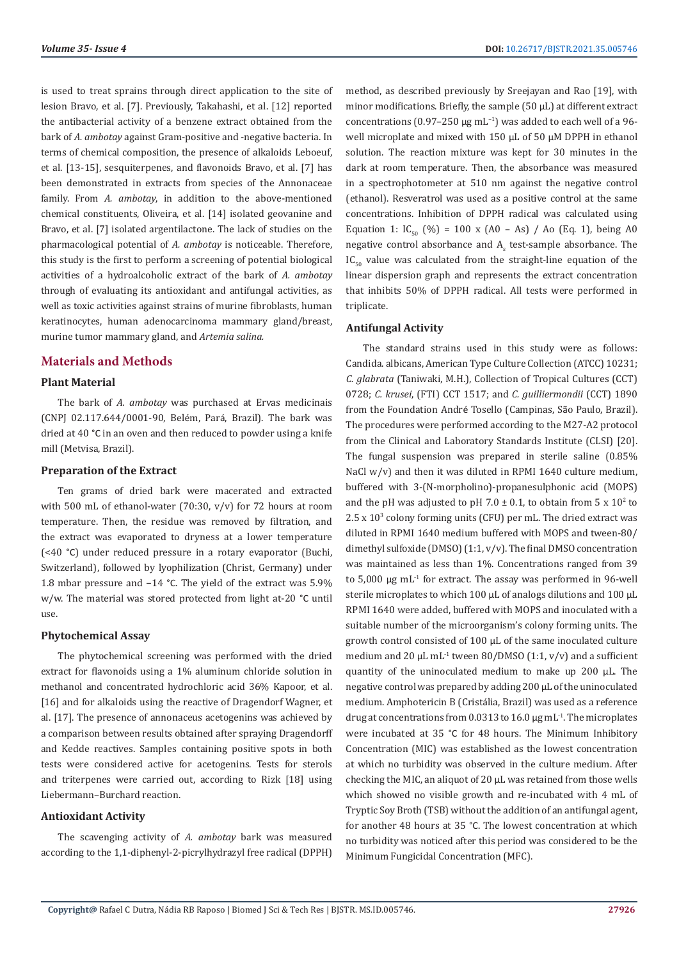is used to treat sprains through direct application to the site of lesion Bravo, et al. [7]. Previously, Takahashi, et al. [12] reported the antibacterial activity of a benzene extract obtained from the bark of *A. ambotay* against Gram-positive and -negative bacteria. In terms of chemical composition, the presence of alkaloids Leboeuf, et al. [13-15], sesquiterpenes, and flavonoids Bravo, et al. [7] has been demonstrated in extracts from species of the Annonaceae family. From *A. ambotay*, in addition to the above-mentioned chemical constituents, Oliveira, et al. [14] isolated geovanine and Bravo, et al. [7] isolated argentilactone. The lack of studies on the pharmacological potential of *A. ambotay* is noticeable. Therefore, this study is the first to perform a screening of potential biological activities of a hydroalcoholic extract of the bark of *A. ambotay* through of evaluating its antioxidant and antifungal activities, as well as toxic activities against strains of murine fibroblasts, human keratinocytes, human adenocarcinoma mammary gland/breast, murine tumor mammary gland, and *Artemia salina.*

## **Materials and Methods**

## **Plant Material**

The bark of *A. ambotay* was purchased at Ervas medicinais (CNPJ 02.117.644/0001-90, Belém, Pará, Brazil). The bark was dried at 40 °C in an oven and then reduced to powder using a knife mill (Metvisa, Brazil).

### **Preparation of the Extract**

Ten grams of dried bark were macerated and extracted with 500 mL of ethanol-water (70:30, v/v) for 72 hours at room temperature. Then, the residue was removed by filtration, and the extract was evaporated to dryness at a lower temperature (<40 °C) under reduced pressure in a rotary evaporator (Buchi, Switzerland), followed by lyophilization (Christ, Germany) under 1.8 mbar pressure and −14 °C. The yield of the extract was 5.9% w/w. The material was stored protected from light at-20 °C until use.

#### **Phytochemical Assay**

The phytochemical screening was performed with the dried extract for flavonoids using a 1% aluminum chloride solution in methanol and concentrated hydrochloric acid 36% Kapoor, et al. [16] and for alkaloids using the reactive of Dragendorf Wagner, et al. [17]. The presence of annonaceus acetogenins was achieved by a comparison between results obtained after spraying Dragendorff and Kedde reactives. Samples containing positive spots in both tests were considered active for acetogenins. Tests for sterols and triterpenes were carried out, according to Rizk [18] using Liebermann–Burchard reaction.

# **Antioxidant Activity**

The scavenging activity of *A. ambotay* bark was measured according to the 1,1-diphenyl-2-picrylhydrazyl free radical (DPPH) method, as described previously by Sreejayan and Rao [19], with minor modifications. Briefly, the sample (50 µL) at different extract concentrations (0.97–250 μg mL<sup>-1</sup>) was added to each well of a 96well microplate and mixed with 150  $\mu$ L of 50  $\mu$ M DPPH in ethanol solution. The reaction mixture was kept for 30 minutes in the dark at room temperature. Then, the absorbance was measured in a spectrophotometer at 510 nm against the negative control (ethanol). Resveratrol was used as a positive control at the same concentrations. Inhibition of DPPH radical was calculated using Equation 1:  $IC_{50}$  (%) = 100 x (A0 – As) / Ao (Eq. 1), being A0  $n$ egative control absorbance and  $A_s$  test-sample absorbance. The  $IC_{50}$  value was calculated from the straight-line equation of the linear dispersion graph and represents the extract concentration that inhibits 50% of DPPH radical. All tests were performed in triplicate.

#### **Antifungal Activity**

The standard strains used in this study were as follows: Candida. albicans, American Type Culture Collection (ATCC) 10231; *C. glabrata* (Taniwaki, M.H.), Collection of Tropical Cultures (CCT) 0728; *C. krusei*, (FTI) CCT 1517; and *C. guilliermondii* (CCT) 1890 from the Foundation André Tosello (Campinas, São Paulo, Brazil). The procedures were performed according to the M27-A2 protocol from the Clinical and Laboratory Standards Institute (CLSI) [20]. The fungal suspension was prepared in sterile saline (0.85% NaCl w/v) and then it was diluted in RPMI 1640 culture medium, buffered with 3-(N-morpholino)-propanesulphonic acid (MOPS) and the pH was adjusted to pH 7.0  $\pm$  0.1, to obtain from 5 x 10<sup>2</sup> to  $2.5 \times 10^3$  colony forming units (CFU) per mL. The dried extract was diluted in RPMI 1640 medium buffered with MOPS and tween-80/ dimethyl sulfoxide (DMSO) (1:1, v/v). The final DMSO concentration was maintained as less than 1%. Concentrations ranged from 39 to 5,000 µg mL-1 for extract. The assay was performed in 96-well sterile microplates to which 100 µL of analogs dilutions and 100 µL RPMI 1640 were added, buffered with MOPS and inoculated with a suitable number of the microorganism's colony forming units. The growth control consisted of 100 µL of the same inoculated culture medium and 20  $\mu$ L mL<sup>-1</sup> tween 80/DMSO (1:1, v/v) and a sufficient quantity of the uninoculated medium to make up 200 µL. The negative control was prepared by adding 200 µL of the uninoculated medium. Amphotericin B (Cristália, Brazil) was used as a reference drug at concentrations from 0.0313 to 16.0  $\mu$ g mL<sup>-1</sup>. The microplates were incubated at 35 °C for 48 hours. The Minimum Inhibitory Concentration (MIC) was established as the lowest concentration at which no turbidity was observed in the culture medium. After checking the MIC, an aliquot of 20 µL was retained from those wells which showed no visible growth and re-incubated with 4 mL of Tryptic Soy Broth (TSB) without the addition of an antifungal agent, for another 48 hours at 35 °C. The lowest concentration at which no turbidity was noticed after this period was considered to be the Minimum Fungicidal Concentration (MFC).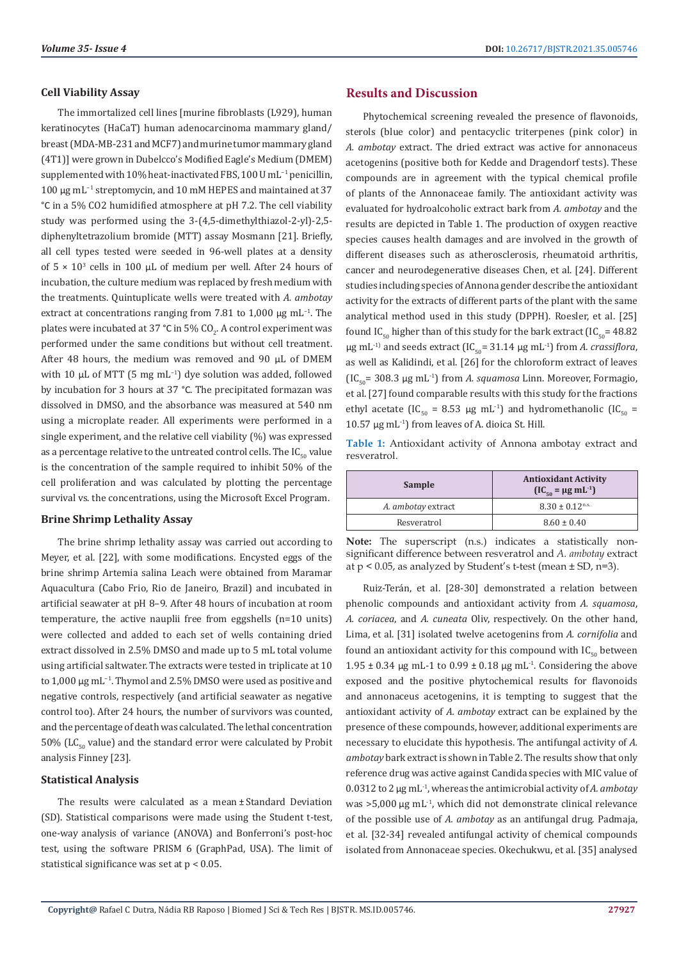#### **Cell Viability Assay**

The immortalized cell lines [murine fibroblasts (L929), human keratinocytes (HaCaT) human adenocarcinoma mammary gland/ breast (MDA-MB-231 and MCF7) and murine tumor mammary gland (4T1)] were grown in Dubelcco's Modified Eagle's Medium (DMEM) supplemented with 10% heat-inactivated FBS, 100 U mL−1 penicillin, 100 µg mL−1 streptomycin, and 10 mM HEPES and maintained at 37 °C in a 5% CO2 humidified atmosphere at pH 7.2. The cell viability study was performed using the 3-(4,5-dimethylthiazol-2-yl)-2,5 diphenyltetrazolium bromide (MTT) assay Mosmann [21]. Briefly, all cell types tested were seeded in 96-well plates at a density of  $5 \times 10^3$  cells in 100 µL of medium per well. After 24 hours of incubation, the culture medium was replaced by fresh medium with the treatments. Quintuplicate wells were treated with *A. ambotay* extract at concentrations ranging from 7.81 to 1,000 µg mL−1. The plates were incubated at 37 °C in 5% CO<sub>2</sub>. A control experiment was performed under the same conditions but without cell treatment. After 48 hours, the medium was removed and 90 µL of DMEM with 10 µL of MTT (5 mg mL<sup>-1</sup>) dye solution was added, followed by incubation for 3 hours at 37 °C. The precipitated formazan was dissolved in DMSO, and the absorbance was measured at 540 nm using a microplate reader. All experiments were performed in a single experiment, and the relative cell viability (%) was expressed as a percentage relative to the untreated control cells. The  $IC_{50}$  value is the concentration of the sample required to inhibit 50% of the cell proliferation and was calculated by plotting the percentage survival vs. the concentrations, using the Microsoft Excel Program.

## **Brine Shrimp Lethality Assay**

The brine shrimp lethality assay was carried out according to Meyer, et al. [22], with some modifications. Encysted eggs of the brine shrimp Artemia salina Leach were obtained from Maramar Aquacultura (Cabo Frio, Rio de Janeiro, Brazil) and incubated in artificial seawater at pH 8–9. After 48 hours of incubation at room temperature, the active nauplii free from eggshells (n=10 units) were collected and added to each set of wells containing dried extract dissolved in 2.5% DMSO and made up to 5 mL total volume using artificial saltwater. The extracts were tested in triplicate at 10 to 1,000 μg mL−1. Thymol and 2.5% DMSO were used as positive and negative controls, respectively (and artificial seawater as negative control too). After 24 hours, the number of survivors was counted, and the percentage of death was calculated. The lethal concentration 50% (LC $_{50}$  value) and the standard error were calculated by Probit analysis Finney [23].

#### **Statistical Analysis**

The results were calculated as a mean ± Standard Deviation (SD). Statistical comparisons were made using the Student t-test, one-way analysis of variance (ANOVA) and Bonferroni's post-hoc test, using the software PRISM 6 (GraphPad, USA). The limit of statistical significance was set at p < 0.05.

# **Results and Discussion**

Phytochemical screening revealed the presence of flavonoids, sterols (blue color) and pentacyclic triterpenes (pink color) in *A. ambotay* extract. The dried extract was active for annonaceus acetogenins (positive both for Kedde and Dragendorf tests). These compounds are in agreement with the typical chemical profile of plants of the Annonaceae family. The antioxidant activity was evaluated for hydroalcoholic extract bark from *A. ambotay* and the results are depicted in Table 1. The production of oxygen reactive species causes health damages and are involved in the growth of different diseases such as atherosclerosis, rheumatoid arthritis, cancer and neurodegenerative diseases Chen, et al. [24]. Different studies including species of Annona gender describe the antioxidant activity for the extracts of different parts of the plant with the same analytical method used in this study (DPPH). Roesler, et al. [25] found IC<sub>50</sub> higher than of this study for the bark extract (IC<sub>50</sub>= 48.82 μg mL<sup>-1)</sup> and seeds extract (IC<sub>50</sub>= 31.14 μg mL<sup>-1</sup>) from *A. crassiflora*, as well as Kalidindi, et al. [26] for the chloroform extract of leaves  $[IC_{50}$ = 308.3 μg mL<sup>-1</sup>) from *A. squamosa* Linn. Moreover, Formagio, et al. [27] found comparable results with this study for the fractions ethyl acetate (IC<sub>50</sub> = 8.53 µg mL<sup>-1</sup>) and hydromethanolic (IC<sub>50</sub> = 10.57 μg mL-1) from leaves of A. dioica St. Hill.

**Table 1:** Antioxidant activity of Annona ambotay extract and resveratrol.

| Sample             | <b>Antioxidant Activity</b><br>$[IC_{50} = \mu g \, mL^{-1}]$ |  |
|--------------------|---------------------------------------------------------------|--|
| A. ambotay extract | $8.30 \pm 0.12$ <sup>n.s.</sup>                               |  |
| Resveratrol        | $8.60 \pm 0.40$                                               |  |

**Note:** The superscript (n.s.) indicates a statistically nonsignificant difference between resveratrol and *A. ambotay* extract at  $p < 0.05$ , as analyzed by Student's t-test (mean  $\pm$  SD, n=3).

Ruiz-Terán, et al. [28-30] demonstrated a relation between phenolic compounds and antioxidant activity from *A. squamosa*, *A. coriacea*, and *A. cuneata* Oliv, respectively. On the other hand, Lima, et al. [31] isolated twelve acetogenins from *A. cornifolia* and found an antioxidant activity for this compound with  $IC_{50}$  between 1.95  $\pm$  0.34 μg mL-1 to 0.99  $\pm$  0.18 μg mL<sup>-1</sup>. Considering the above exposed and the positive phytochemical results for flavonoids and annonaceus acetogenins, it is tempting to suggest that the antioxidant activity of *A. ambotay* extract can be explained by the presence of these compounds, however, additional experiments are necessary to elucidate this hypothesis. The antifungal activity of *A. ambotay* bark extract is shown in Table 2. The results show that only reference drug was active against Candida species with MIC value of 0.0312 to 2 µg mL-1, whereas the antimicrobial activity of *A. ambotay* was  $>5,000 \mu g$  mL<sup>-1</sup>, which did not demonstrate clinical relevance of the possible use of *A. ambotay* as an antifungal drug. Padmaja, et al. [32-34] revealed antifungal activity of chemical compounds isolated from Annonaceae species. Okechukwu, et al. [35] analysed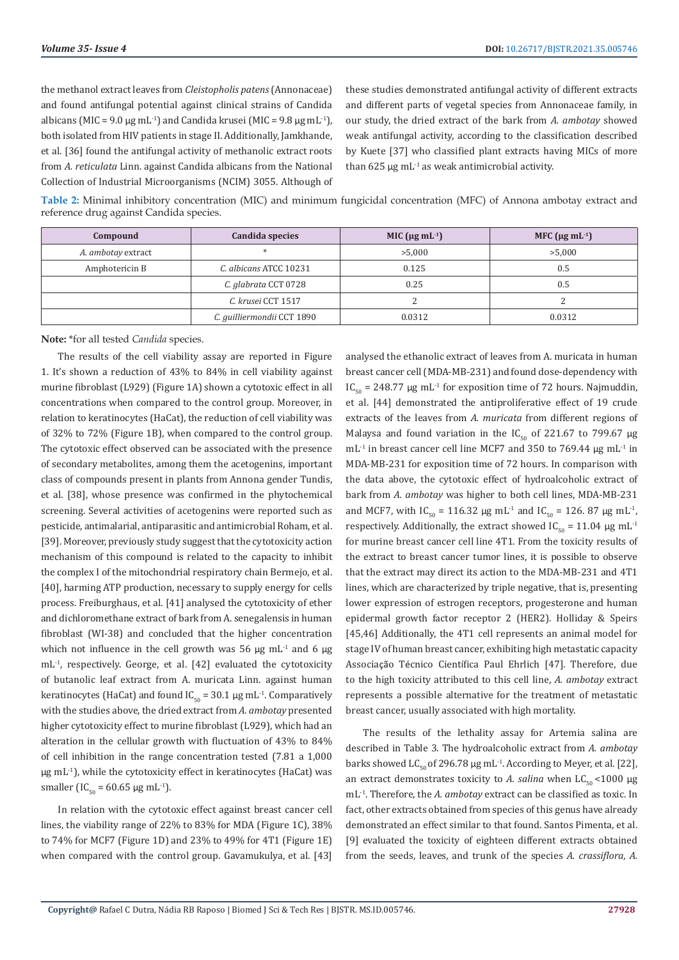the methanol extract leaves from *Cleistopholis patens* (Annonaceae) and found antifungal potential against clinical strains of Candida albicans (MIC = 9.0  $\mu$ g mL<sup>-1</sup>) and Candida krusei (MIC = 9.8  $\mu$ g mL<sup>-1</sup>), both isolated from HIV patients in stage II. Additionally, Jamkhande, et al. [36] found the antifungal activity of methanolic extract roots from *A. reticulata* Linn. against Candida albicans from the National Collection of Industrial Microorganisms (NCIM) 3055. Although of these studies demonstrated antifungal activity of different extracts and different parts of vegetal species from Annonaceae family, in our study, the dried extract of the bark from *A. ambotay* showed weak antifungal activity, according to the classification described by Kuete [37] who classified plant extracts having MICs of more than  $625 \mu g \text{ mL}^{-1}$  as weak antimicrobial activity.

**Table 2:** Minimal inhibitory concentration (MIC) and minimum fungicidal concentration (MFC) of Annona ambotay extract and reference drug against Candida species.

| Compound           | Candida species            | MIC ( $\mu$ g mL <sup>-1</sup> ) | MFC ( $\mu$ g mL <sup>-1</sup> ) |
|--------------------|----------------------------|----------------------------------|----------------------------------|
| A. ambotay extract |                            | >5,000                           | >5,000                           |
| Amphotericin B     | C. albicans ATCC 10231     | 0.125                            | 0.5                              |
|                    | C. glabrata CCT 0728       | 0.25                             | 0.5                              |
|                    | C. krusei CCT 1517         |                                  |                                  |
|                    | C. guilliermondii CCT 1890 | 0.0312                           | 0.0312                           |

**Note:** \*for all tested *Candida* species.

The results of the cell viability assay are reported in Figure 1. It's shown a reduction of 43% to 84% in cell viability against murine fibroblast (L929) (Figure 1A) shown a cytotoxic effect in all concentrations when compared to the control group. Moreover, in relation to keratinocytes (HaCat), the reduction of cell viability was of 32% to 72% (Figure 1B), when compared to the control group. The cytotoxic effect observed can be associated with the presence of secondary metabolites, among them the acetogenins, important class of compounds present in plants from Annona gender Tundis, et al. [38], whose presence was confirmed in the phytochemical screening. Several activities of acetogenins were reported such as pesticide, antimalarial, antiparasitic and antimicrobial Roham, et al. [39]. Moreover, previously study suggest that the cytotoxicity action mechanism of this compound is related to the capacity to inhibit the complex I of the mitochondrial respiratory chain Bermejo, et al. [40], harming ATP production, necessary to supply energy for cells process. Freiburghaus, et al. [41] analysed the cytotoxicity of ether and dichloromethane extract of bark from A. senegalensis in human fibroblast (WI-38) and concluded that the higher concentration which not influence in the cell growth was 56  $\mu$ g mL<sup>-1</sup> and 6  $\mu$ g mL-1, respectively. George, et al. [42] evaluated the cytotoxicity of butanolic leaf extract from A. muricata Linn. against human keratinocytes (HaCat) and found  $IC_{50} = 30.1 \mu g \text{ mL}^{-1}$ . Comparatively with the studies above, the dried extract from *A. ambotay* presented higher cytotoxicity effect to murine fibroblast (L929), which had an alteration in the cellular growth with fluctuation of 43% to 84% of cell inhibition in the range concentration tested (7.81 a 1,000  $\mu$ g mL<sup>-1</sup>), while the cytotoxicity effect in keratinocytes (HaCat) was smaller (IC<sub>50</sub> = 60.65 μg mL<sup>-1</sup>).

In relation with the cytotoxic effect against breast cancer cell lines, the viability range of 22% to 83% for MDA (Figure 1C), 38% to 74% for MCF7 (Figure 1D) and 23% to 49% for 4T1 (Figure 1E) when compared with the control group. Gavamukulya, et al. [43] analysed the ethanolic extract of leaves from A. muricata in human breast cancer cell (MDA-MB-231) and found dose-dependency with IC<sub>50</sub> = 248.77 μg mL<sup>-1</sup> for exposition time of 72 hours. Najmuddin, et al. [44] demonstrated the antiproliferative effect of 19 crude extracts of the leaves from *A. muricata* from different regions of Malaysa and found variation in the IC<sub>50</sub> of 221.67 to 799.67 μg mL<sup>-1</sup> in breast cancer cell line MCF7 and 350 to 769.44  $\mu$ g mL<sup>-1</sup> in MDA-MB-231 for exposition time of 72 hours. In comparison with the data above, the cytotoxic effect of hydroalcoholic extract of bark from *A. ambotay* was higher to both cell lines, MDA-MB-231 and MCF7, with  $IC_{50} = 116.32 \text{ µg} \text{ mL}^{-1}$  and  $IC_{50} = 126.87 \text{ µg} \text{ mL}^{-1}$ , respectively. Additionally, the extract showed  $IC_{50} = 11.04 \mu g \text{ mL}^{-1}$ for murine breast cancer cell line 4T1. From the toxicity results of the extract to breast cancer tumor lines, it is possible to observe that the extract may direct its action to the MDA-MB-231 and 4T1 lines, which are characterized by triple negative, that is, presenting lower expression of estrogen receptors, progesterone and human epidermal growth factor receptor 2 (HER2). Holliday & Speirs [45,46] Additionally, the 4T1 cell represents an animal model for stage IV of human breast cancer, exhibiting high metastatic capacity Associação Técnico Científica Paul Ehrlich [47]. Therefore, due to the high toxicity attributed to this cell line, *A. ambotay* extract represents a possible alternative for the treatment of metastatic breast cancer, usually associated with high mortality.

The results of the lethality assay for Artemia salina are described in Table 3. The hydroalcoholic extract from *A. ambotay* barks showed  $LC_{50}$  of 296.78 µg mL<sup>-1</sup>. According to Meyer, et al. [22], an extract demonstrates toxicity to *A. salina* when  $LC_{50}$  <1000 μg mL-1. Therefore, the *A. ambotay* extract can be classified as toxic. In fact, other extracts obtained from species of this genus have already demonstrated an effect similar to that found. Santos Pimenta, et al. [9] evaluated the toxicity of eighteen different extracts obtained from the seeds, leaves, and trunk of the species *A. crassiflora*, *A.*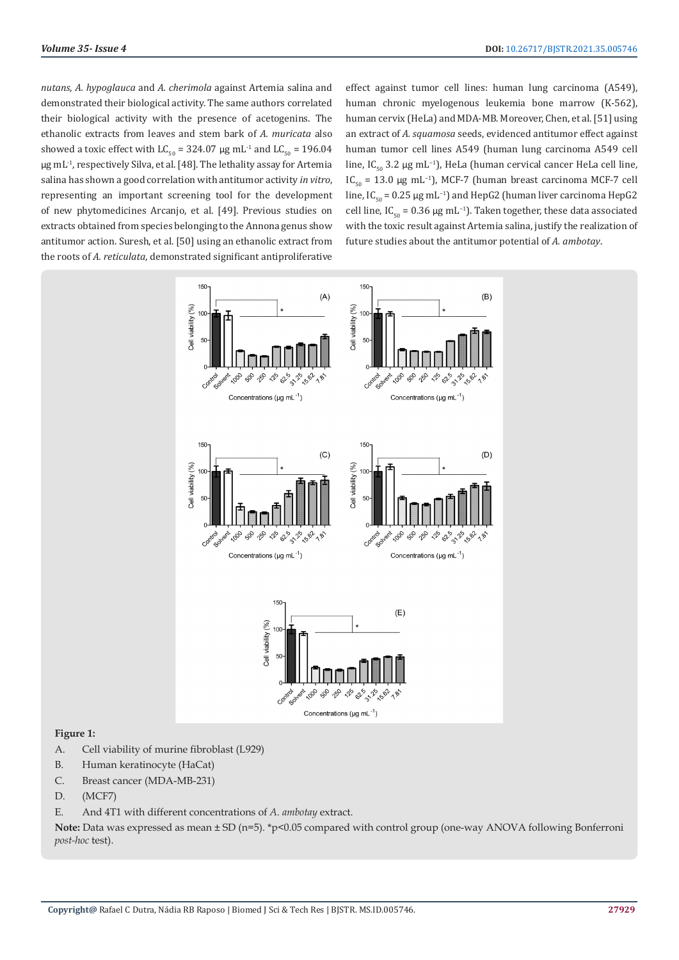*nutans*, *A. hypoglauca* and *A. cherimola* against Artemia salina and demonstrated their biological activity. The same authors correlated their biological activity with the presence of acetogenins. The ethanolic extracts from leaves and stem bark of *A. muricata* also showed a toxic effect with  $LC_{50} = 324.07 \,\mu g \,\text{mL}^{-1}$  and  $LC_{50} = 196.04 \,\text{m}$ μg mL-1, respectively Silva, et al. [48]. The lethality assay for Artemia salina has shown a good correlation with antitumor activity *in vitro*, representing an important screening tool for the development of new phytomedicines Arcanjo, et al. [49]. Previous studies on extracts obtained from species belonging to the Annona genus show antitumor action. Suresh, et al. [50] using an ethanolic extract from the roots of *A. reticulata*, demonstrated significant antiproliferative

effect against tumor cell lines: human lung carcinoma (A549), human chronic myelogenous leukemia bone marrow (K-562), human cervix (HeLa) and MDA-MB. Moreover, Chen, et al. [51] using an extract of *A. squamosa* seeds, evidenced antitumor effect against human tumor cell lines A549 (human lung carcinoma A549 cell line, IC<sub>50</sub> 3.2 μg mL<sup>-1</sup>), HeLa (human cervical cancer HeLa cell line, IC<sub>50</sub> = 13.0 μg mL<sup>-1</sup>), MCF-7 (human breast carcinoma MCF-7 cell line, IC<sub>50</sub> = 0.25  $\mu$ g mL<sup>-1</sup>) and HepG2 (human liver carcinoma HepG2 cell line, IC<sub>50</sub> = 0.36 μg mL<sup>-1</sup>). Taken together, these data associated with the toxic result against Artemia salina, justify the realization of future studies about the antitumor potential of *A. ambotay*.



#### **Figure 1:**

- A. Cell viability of murine fibroblast (L929)
- B. Human keratinocyte (HaCat)
- C. Breast cancer (MDA-MB-231)
- D. (MCF7)
- E. And 4T1 with different concentrations of *A. ambotay* extract.

**Note:** Data was expressed as mean ± SD (n=5). \*p<0.05 compared with control group (one-way ANOVA following Bonferroni *post-hoc* test).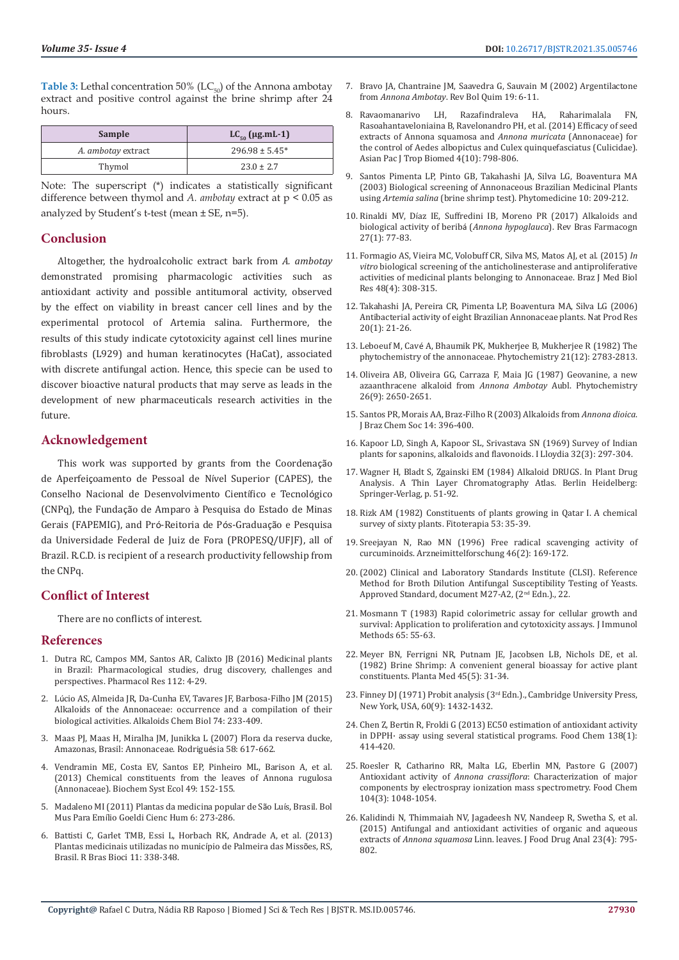**Table 3:** Lethal concentration 50% ( $LC_{50}$ ) of the Annona ambotay extract and positive control against the brine shrimp after 24 hours.

| Sample             | LC <sub>50</sub> (µg.mL-1) |
|--------------------|----------------------------|
| A. ambotay extract | $296.98 \pm 5.45^*$        |
| Thymol             | $23.0 \pm 2.7$             |

Note: The superscript (\*) indicates a statistically significant difference between thymol and *A. ambotay* extract at p < 0.05 as analyzed by Student's t-test (mean  $\pm$  SE, n=5).

# **Conclusion**

Altogether, the hydroalcoholic extract bark from *A. ambotay* demonstrated promising pharmacologic activities such as antioxidant activity and possible antitumoral activity, observed by the effect on viability in breast cancer cell lines and by the experimental protocol of Artemia salina. Furthermore, the results of this study indicate cytotoxicity against cell lines murine fibroblasts (L929) and human keratinocytes (HaCat), associated with discrete antifungal action. Hence, this specie can be used to discover bioactive natural products that may serve as leads in the development of new pharmaceuticals research activities in the future.

# **Acknowledgement**

This work was supported by grants from the Coordenação de Aperfeiçoamento de Pessoal de Nível Superior (CAPES), the Conselho Nacional de Desenvolvimento Científico e Tecnológico (CNPq), the Fundação de Amparo à Pesquisa do Estado de Minas Gerais (FAPEMIG), and Pró-Reitoria de Pós-Graduação e Pesquisa da Universidade Federal de Juiz de Fora (PROPESQ/UFJF), all of Brazil. R.C.D. is recipient of a research productivity fellowship from the CNPq.

# **Conflict of Interest**

There are no conflicts of interest.

## **References**

- 1. [Dutra RC, Campos MM, Santos AR, Calixto JB \(2016\) Medicinal plants](https://pubmed.ncbi.nlm.nih.gov/26812486/)  [in Brazil: Pharmacological studies, drug discovery, challenges and](https://pubmed.ncbi.nlm.nih.gov/26812486/)  [perspectives. Pharmacol Res 112: 4-29.](https://pubmed.ncbi.nlm.nih.gov/26812486/)
- 2. Lú[cio AS, Almeida JR, Da-Cunha EV, Tavares JF, Barbosa-Filho JM \(2015\)](https://www.sciencedirect.com/science/article/abs/pii/S1099483114000030)  [Alkaloids of the Annonaceae: occurrence and a compilation of their](https://www.sciencedirect.com/science/article/abs/pii/S1099483114000030)  [biological activities. Alkaloids Chem Biol 74: 233-409.](https://www.sciencedirect.com/science/article/abs/pii/S1099483114000030)
- 3. [Maas PJ, Maas H, Miralha JM, Junikka L \(2007\) Flora da reserva ducke,](https://www.scielo.br/scielo.php?script=sci_arttext&pid=S2175-78602007000300617&lng=en&nrm=iso)  [Amazonas, Brasil: Annonaceae. Rodrigu](https://www.scielo.br/scielo.php?script=sci_arttext&pid=S2175-78602007000300617&lng=en&nrm=iso)ésia 58: 617-662.
- 4. [Vendramin ME, Costa EV, Santos EP, Pinheiro ML, Barison A, et al.](https://www.researchgate.net/publication/257154288_Chemical_constituents_from_the_leaves_of_Annona_rugulosa_Annonaceae)  [\(2013\) Chemical constituents from the leaves of Annona rugulosa](https://www.researchgate.net/publication/257154288_Chemical_constituents_from_the_leaves_of_Annona_rugulosa_Annonaceae)  [\(Annonaceae\). Biochem Syst Ecol 49: 152-155.](https://www.researchgate.net/publication/257154288_Chemical_constituents_from_the_leaves_of_Annona_rugulosa_Annonaceae)
- 5. [Madaleno MI \(2011\) Plantas da medicina popular de S](https://www.scielo.br/pdf/bgoeldi/v6n2/a02v6n2)ão Luís, Brasil. Bol Mus Para Emí[lio Goeldi Cienc Hum 6: 273-286.](https://www.scielo.br/pdf/bgoeldi/v6n2/a02v6n2)
- 6. [Battisti C, Garlet TMB, Essi L, Horbach RK, Andrade A, et al. \(2013\)](https://www.researchgate.net/publication/257744217_Plantas_medicinais_utilizadas_no_municipio_de_Palmeira_das_Missoes_RS_Brasil)  [Plantas medicinais utilizadas no munic](https://www.researchgate.net/publication/257744217_Plantas_medicinais_utilizadas_no_municipio_de_Palmeira_das_Missoes_RS_Brasil)ípio de Palmeira das Missões, RS, [Brasil. R Bras Bioci 11: 338-348.](https://www.researchgate.net/publication/257744217_Plantas_medicinais_utilizadas_no_municipio_de_Palmeira_das_Missoes_RS_Brasil)
- 7. [Bravo JA, Chantraine JM, Saavedra G, Sauvain M \(2002\) Argentilactone](https://www.researchgate.net/publication/234033975_ARGENTILACTONE_FROM_ANNONA_AMBOTAY) from *Annona Ambotay*[. Rev Bol Quim 19: 6-11.](https://www.researchgate.net/publication/234033975_ARGENTILACTONE_FROM_ANNONA_AMBOTAY)
- 8. [Ravaomanarivo LH, Razafindraleva HA, Raharimalala FN,](https://www.sciencedirect.com/science/article/pii/S2221169115300204) [Rasoahantaveloniaina B, Ravelonandro PH, et al. \(2014\) Efficacy of seed](https://www.sciencedirect.com/science/article/pii/S2221169115300204) [extracts of Annona squamosa and](https://www.sciencedirect.com/science/article/pii/S2221169115300204) *Annona muricata* (Annonaceae) for [the control of Aedes albopictus and Culex quinquefasciatus \(Culicidae\).](https://www.sciencedirect.com/science/article/pii/S2221169115300204) [Asian Pac J Trop Biomed 4\(10\): 798-806.](https://www.sciencedirect.com/science/article/pii/S2221169115300204)
- 9. [Santos Pimenta LP, Pinto GB, Takahashi JA, Silva LG, Boaventura MA](https://www.sciencedirect.com/science/article/abs/pii/S0944711304702184) [\(2003\) Biological screening of Annonaceous Brazilian Medicinal Plants](https://www.sciencedirect.com/science/article/abs/pii/S0944711304702184) using *Artemia salina* [\(brine shrimp test\). Phytomedicine 10: 209-212.](https://www.sciencedirect.com/science/article/abs/pii/S0944711304702184)
- 10. Rinaldi MV, Dí[az IE, Suffredini IB, Moreno PR \(2017\) Alkaloids and](https://www.researchgate.net/publication/312280312_Alkaloids_and_biological_activity_of_beriba_Annona_hypoglauca) [biological activity of berib](https://www.researchgate.net/publication/312280312_Alkaloids_and_biological_activity_of_beriba_Annona_hypoglauca)á (*Annona hypoglauca*). Rev Bras Farmacogn [27\(1\): 77-83.](https://www.researchgate.net/publication/312280312_Alkaloids_and_biological_activity_of_beriba_Annona_hypoglauca)
- 11. [Formagio AS, Vieira MC, Volobuff CR, Silva MS, Matos AJ, et al. \(2015\)](https://pubmed.ncbi.nlm.nih.gov/25714885/) *In vitro* [biological screening of the anticholinesterase and antiproliferative](https://pubmed.ncbi.nlm.nih.gov/25714885/) [activities of medicinal plants belonging to Annonaceae. Braz J Med Biol](https://pubmed.ncbi.nlm.nih.gov/25714885/) [Res 48\(4\): 308-315.](https://pubmed.ncbi.nlm.nih.gov/25714885/)
- 12. [Takahashi JA, Pereira CR, Pimenta LP, Boaventura MA, Silva LG \(2006\)](https://www.researchgate.net/publication/7482740_Antibacterial_activity_of_eight_Brazilian_Annonaceae_plants) [Antibacterial activity of eight Brazilian Annonaceae plants. Nat Prod Res](https://www.researchgate.net/publication/7482740_Antibacterial_activity_of_eight_Brazilian_Annonaceae_plants) [20\(1\): 21-26.](https://www.researchgate.net/publication/7482740_Antibacterial_activity_of_eight_Brazilian_Annonaceae_plants)
- 13. Leboeuf M, Cavé [A, Bhaumik PK, Mukherjee B, Mukherjee R \(1982\) The](https://www.sciencedirect.com/science/article/abs/pii/0031942280850461) [phytochemistry of the annonaceae. Phytochemistry 21\(12\): 2783-2813.](https://www.sciencedirect.com/science/article/abs/pii/0031942280850461)
- 14. [Oliveira AB, Oliveira GG, Carraza F, Maia JG \(1987\) Geovanine, a new](https://www.sciencedirect.com/science/article/abs/pii/S0031942200839023) [azaanthracene alkaloid from](https://www.sciencedirect.com/science/article/abs/pii/S0031942200839023) *Annona Ambotay* Aubl. Phytochemistry [26\(9\): 2650-2651.](https://www.sciencedirect.com/science/article/abs/pii/S0031942200839023)
- 15. [Santos PR, Morais AA, Braz-Filho R \(2003\) Alkaloids from](https://www.scielo.br/scielo.php?script=sci_arttext&pid=S0103-50532003000300009) *Annona dioica*. [J Braz Chem Soc 14: 396-400.](https://www.scielo.br/scielo.php?script=sci_arttext&pid=S0103-50532003000300009)
- 16. [Kapoor LD, Singh A, Kapoor SL, Srivastava SN \(1969\) Survey of Indian](https://pubmed.ncbi.nlm.nih.gov/5356032/) [plants for saponins, alkaloids and flavonoids. I Lloydia 32\(3\): 297-304.](https://pubmed.ncbi.nlm.nih.gov/5356032/)
- 17. Wagner H, Bladt S, Zgainski EM (1984) Alkaloid DRUGS. In Plant Drug Analysis. A Thin Layer Chromatography Atlas. Berlin Heidelberg: Springer-Verlag, p. 51-92.
- 18. [Rizk AM \(1982\) Constituents of plants growing in Qatar I. A chemical](https://agris.fao.org/agris-search/search.do?f=2013/US/US2013021590410014235.xml;US201302159047) [survey of sixty plants. Fitoterapia 53: 35-39.](https://agris.fao.org/agris-search/search.do?f=2013/US/US2013021590410014235.xml;US201302159047)
- 19. [Sreejayan N, Rao MN \(1996\) Free radical scavenging activity of](https://pubmed.ncbi.nlm.nih.gov/8720307/) [curcuminoids. Arzneimittelforschung 46\(2\): 169-172.](https://pubmed.ncbi.nlm.nih.gov/8720307/)
- 20.[\(2002\) Clinical and Laboratory Standards Institute \(CLSI\). Reference](https://www.researchgate.net/publication/283602039_Reference_method_for_broth_dilution_antifungal_susceptibility_testing_of_yeasts_approved_standard-second_edition_CLSI_document_M27-A2_ISBN_1-56238-469-4) [Method for Broth Dilution Antifungal Susceptibility Testing of Yeasts.](https://www.researchgate.net/publication/283602039_Reference_method_for_broth_dilution_antifungal_susceptibility_testing_of_yeasts_approved_standard-second_edition_CLSI_document_M27-A2_ISBN_1-56238-469-4) [Approved Standard, document M27-A2, \(2](https://www.researchgate.net/publication/283602039_Reference_method_for_broth_dilution_antifungal_susceptibility_testing_of_yeasts_approved_standard-second_edition_CLSI_document_M27-A2_ISBN_1-56238-469-4)nd Edn.)., 22.
- 21. [Mosmann T \(1983\) Rapid colorimetric assay for cellular growth and](https://pubmed.ncbi.nlm.nih.gov/6606682/) [survival: Application to proliferation and cytotoxicity assays. J Immunol](https://pubmed.ncbi.nlm.nih.gov/6606682/) [Methods 65: 55-63.](https://pubmed.ncbi.nlm.nih.gov/6606682/)
- 22. [Meyer BN, Ferrigni NR, Putnam JE, Jacobsen LB, Nichols DE, et al.](https://pubmed.ncbi.nlm.nih.gov/17396775/) [\(1982\) Brine Shrimp: A convenient general bioassay for active plant](https://pubmed.ncbi.nlm.nih.gov/17396775/) [constituents. Planta Med 45\(5\): 31-34.](https://pubmed.ncbi.nlm.nih.gov/17396775/)
- 23. Finney DJ (1971) Probit analysis (3<sup>rd</sup> Edn.)., Cambridge University Press, [New York, USA, 60\(9\): 1432-1432.](https://onlinelibrary.wiley.com/doi/abs/10.1002/jps.2600600940)
- 24. [Chen Z, Bertin R, Froldi G \(2013\) EC50 estimation of antioxidant activity](https://pubmed.ncbi.nlm.nih.gov/23265506/) [in DPPH· assay using several statistical programs. Food Chem 138\(1\):](https://pubmed.ncbi.nlm.nih.gov/23265506/) [414-420.](https://pubmed.ncbi.nlm.nih.gov/23265506/)
- 25. [Roesler R, Catharino RR, Malta LG, Eberlin MN, Pastore G \(2007\)](https://www.researchgate.net/publication/238378736_Antioxidant_activity_of_Annona_crassiflora_Characterization_of_major_components_by_electrospray_Ionization_mass_spectrometry) Antioxidant activity of *Annona crassiflora*[: Characterization of major](https://www.researchgate.net/publication/238378736_Antioxidant_activity_of_Annona_crassiflora_Characterization_of_major_components_by_electrospray_Ionization_mass_spectrometry) [components by electrospray ionization mass spectrometry. Food Chem](https://www.researchgate.net/publication/238378736_Antioxidant_activity_of_Annona_crassiflora_Characterization_of_major_components_by_electrospray_Ionization_mass_spectrometry) [104\(3\): 1048-1054.](https://www.researchgate.net/publication/238378736_Antioxidant_activity_of_Annona_crassiflora_Characterization_of_major_components_by_electrospray_Ionization_mass_spectrometry)
- 26. [Kalidindi N, Thimmaiah NV, Jagadeesh NV, Nandeep R, Swetha S, et al.](https://www.sciencedirect.com/science/article/pii/S1021949815000770) [\(2015\) Antifungal and antioxidant activities of organic and aqueous](https://www.sciencedirect.com/science/article/pii/S1021949815000770) extracts of *Annona squamosa* [Linn. leaves. J Food Drug Anal 23\(4\): 795-](https://www.sciencedirect.com/science/article/pii/S1021949815000770) [802.](https://www.sciencedirect.com/science/article/pii/S1021949815000770)